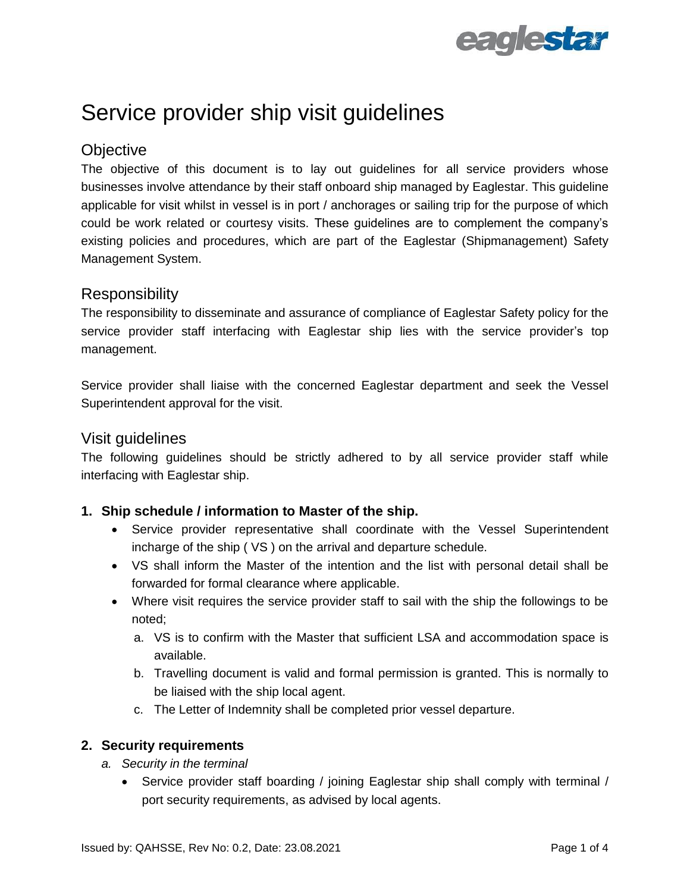

# Service provider ship visit guidelines

## **Objective**

The objective of this document is to lay out guidelines for all service providers whose businesses involve attendance by their staff onboard ship managed by Eaglestar. This guideline applicable for visit whilst in vessel is in port / anchorages or sailing trip for the purpose of which could be work related or courtesy visits. These guidelines are to complement the company's existing policies and procedures, which are part of the Eaglestar (Shipmanagement) Safety Management System.

## **Responsibility**

The responsibility to disseminate and assurance of compliance of Eaglestar Safety policy for the service provider staff interfacing with Eaglestar ship lies with the service provider's top management.

Service provider shall liaise with the concerned Eaglestar department and seek the Vessel Superintendent approval for the visit.

### Visit guidelines

The following guidelines should be strictly adhered to by all service provider staff while interfacing with Eaglestar ship.

#### **1. Ship schedule / information to Master of the ship.**

- Service provider representative shall coordinate with the Vessel Superintendent incharge of the ship ( VS ) on the arrival and departure schedule.
- VS shall inform the Master of the intention and the list with personal detail shall be forwarded for formal clearance where applicable.
- Where visit requires the service provider staff to sail with the ship the followings to be noted;
	- a. VS is to confirm with the Master that sufficient LSA and accommodation space is available.
	- b. Travelling document is valid and formal permission is granted. This is normally to be liaised with the ship local agent.
	- c. The Letter of Indemnity shall be completed prior vessel departure.

#### **2. Security requirements**

- *a. Security in the terminal*
	- Service provider staff boarding / joining Eaglestar ship shall comply with terminal / port security requirements, as advised by local agents.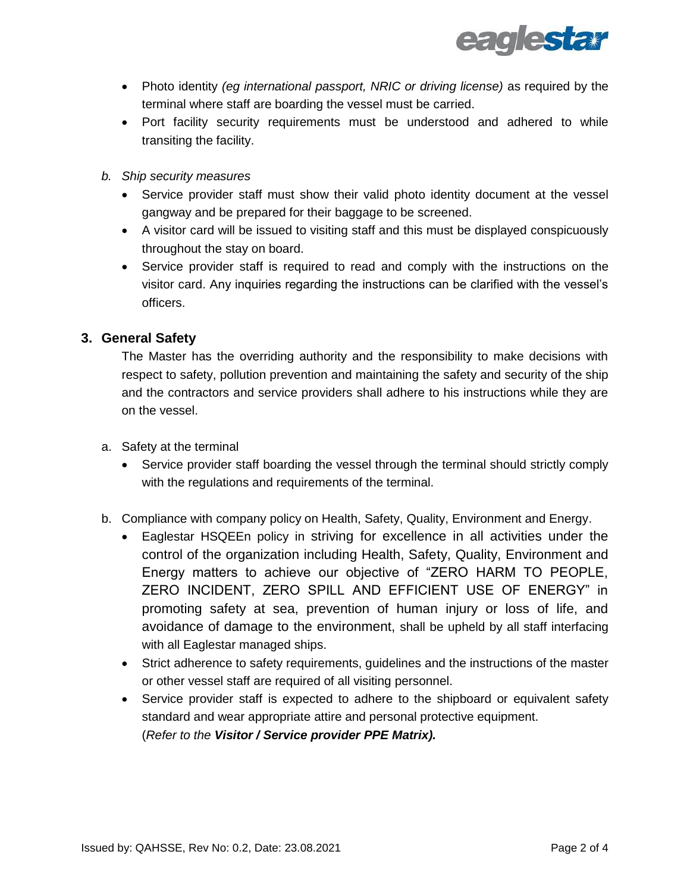

- Photo identity *(eg international passport, NRIC or driving license)* as required by the terminal where staff are boarding the vessel must be carried.
- Port facility security requirements must be understood and adhered to while transiting the facility.
- *b. Ship security measures* 
	- Service provider staff must show their valid photo identity document at the vessel gangway and be prepared for their baggage to be screened.
	- A visitor card will be issued to visiting staff and this must be displayed conspicuously throughout the stay on board.
	- Service provider staff is required to read and comply with the instructions on the visitor card. Any inquiries regarding the instructions can be clarified with the vessel's officers.

#### **3. General Safety**

The Master has the overriding authority and the responsibility to make decisions with respect to safety, pollution prevention and maintaining the safety and security of the ship and the contractors and service providers shall adhere to his instructions while they are on the vessel.

- a. Safety at the terminal
	- Service provider staff boarding the vessel through the terminal should strictly comply with the regulations and requirements of the terminal.
- b. Compliance with company policy on Health, Safety, Quality, Environment and Energy.
	- Eaglestar HSQEEn policy in striving for excellence in all activities under the control of the organization including Health, Safety, Quality, Environment and Energy matters to achieve our objective of "ZERO HARM TO PEOPLE, ZERO INCIDENT, ZERO SPILL AND EFFICIENT USE OF ENERGY" in promoting safety at sea, prevention of human injury or loss of life, and avoidance of damage to the environment, shall be upheld by all staff interfacing with all Eaglestar managed ships.
	- Strict adherence to safety requirements, guidelines and the instructions of the master or other vessel staff are required of all visiting personnel.
	- Service provider staff is expected to adhere to the shipboard or equivalent safety standard and wear appropriate attire and personal protective equipment. (*Refer to the Visitor / Service provider PPE Matrix).*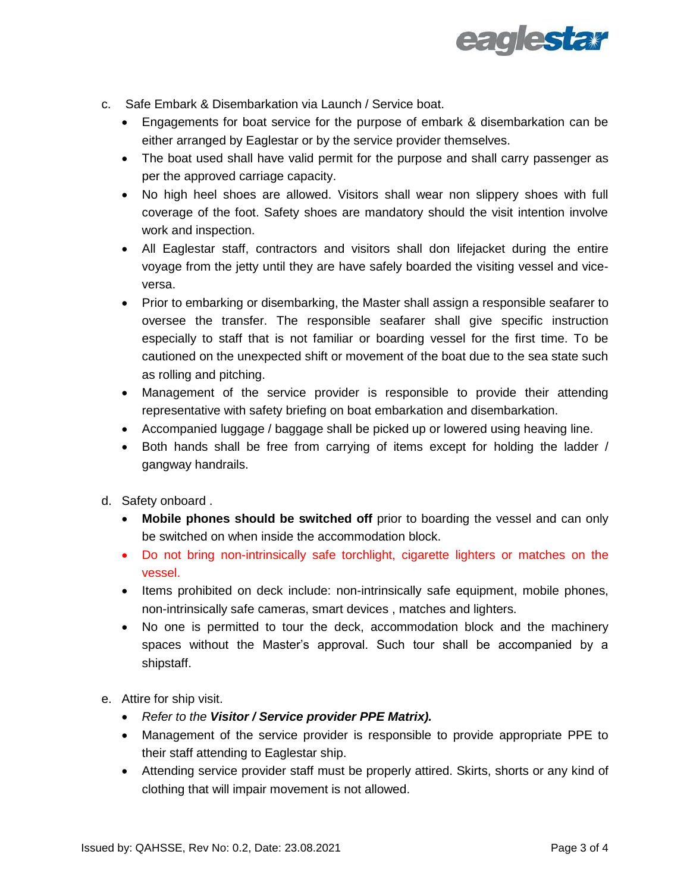

- c. Safe Embark & Disembarkation via Launch / Service boat.
	- Engagements for boat service for the purpose of embark & disembarkation can be either arranged by Eaglestar or by the service provider themselves.
	- The boat used shall have valid permit for the purpose and shall carry passenger as per the approved carriage capacity.
	- No high heel shoes are allowed. Visitors shall wear non slippery shoes with full coverage of the foot. Safety shoes are mandatory should the visit intention involve work and inspection.
	- All Eaglestar staff, contractors and visitors shall don lifejacket during the entire voyage from the jetty until they are have safely boarded the visiting vessel and viceversa.
	- Prior to embarking or disembarking, the Master shall assign a responsible seafarer to oversee the transfer. The responsible seafarer shall give specific instruction especially to staff that is not familiar or boarding vessel for the first time. To be cautioned on the unexpected shift or movement of the boat due to the sea state such as rolling and pitching.
	- Management of the service provider is responsible to provide their attending representative with safety briefing on boat embarkation and disembarkation.
	- Accompanied luggage / baggage shall be picked up or lowered using heaving line.
	- Both hands shall be free from carrying of items except for holding the ladder / gangway handrails.
- d. Safety onboard .
	- **Mobile phones should be switched off** prior to boarding the vessel and can only be switched on when inside the accommodation block.
	- Do not bring non-intrinsically safe torchlight, cigarette lighters or matches on the vessel.
	- Items prohibited on deck include: non-intrinsically safe equipment, mobile phones, non-intrinsically safe cameras, smart devices , matches and lighters.
	- No one is permitted to tour the deck, accommodation block and the machinery spaces without the Master's approval. Such tour shall be accompanied by a shipstaff.
- e. Attire for ship visit.
	- *Refer to the Visitor / Service provider PPE Matrix).*
	- Management of the service provider is responsible to provide appropriate PPE to their staff attending to Eaglestar ship.
	- Attending service provider staff must be properly attired. Skirts, shorts or any kind of clothing that will impair movement is not allowed.